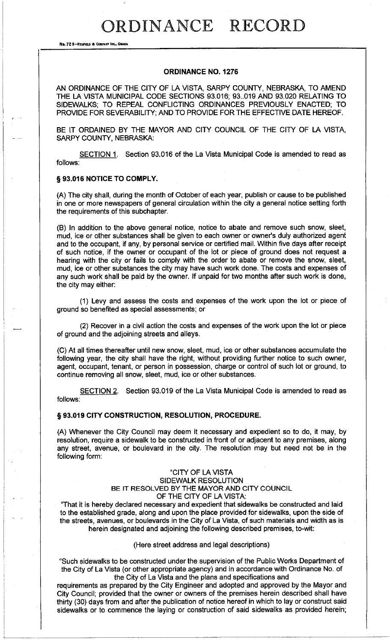# ORDINANCE RECORD

**No. 72 8-REDAELD a COIIPAHT INC., OIWIA** 

# **ORDINANCE NO. 1276**

AN ORDINANCE OF THE CITY OF LA VISTA, SARPY COUNTY, NEBRASKA, TO AMEND THE LA VISTA MUNICIPAL CODE SECTIONS 93.016; 93 .. 019 AND 93.020 RELATING TO SIDEWALKS; TO REPEAL CONFLICTING ORDINANCES PREVIOUSLY ENACTED; TO PROVIDE FOR SEVERABILITY; AND TO PROVIDE FOR THE EFFECTIVE DATE HEREOF.

BE IT ORDAINED BY THE MAYOR AND CITY COUNCIL OF THE CITY OF LA VISTA, SARPY COUNTY, NEBRASKA:

SECTION 1. Section 93.016 of the La Vista Municipal Code is amended to read as follows:

### § **93.016 NOTICE TO COMPLY.**

(A) The city shall, during the month of October of each year, publish or cause to be published in one or more newspapers of general circulation within the city a general notice setting forth the requirements of this subchapter.

(8) In addition to the above general notice, notice to abate and remove such snow, sleet, mud, ice or other substances shall be given to each owner or owner's duly authorized agent and to the occupant, if any, by personal service or certified mail. Within five days after receipt of such notice, if the owner or occupant of the lot or piece of ground does not request a hearing with the city or fails to comply with the order to abate or remove the snow, sleet, mud, ice or other substances the city may have such work done. The costs and expenses of any such work shall be paid by the owner. If unpaid for two months after such work is done, the city may either:

(1) Levy and assess the costs and expenses of the work upon the lot or piece of ground so benefited as special assessments; or

(2) Recover in a civil action the costs and expenses of the work upon the lot or piece of ground and the adjoining streets and alleys.

(C) At all times thereafter until new snow, sleet, mud, ice or other substances accumulate the following year, the city shall have the right, without providing further notice to such owner, agent, occupant, tenant, or person in possession, charge or control of such lot or ground, to continue removing all snow, sleet, mud, ice or other substances.

SECTION 2. Section 93.019 of the La Vista Municipal Code is amended to read as follows:

#### § **93.019 CITY CONSTRUCTION, RESOLUTION, PROCEDURE.**

(A) Whenever the City Council may deem it necessary and expedient so to do, it may, by resolution, require a sidewalk to be constructed in front of or adjacent to any premises, along any street, avenue, or boulevard in the city. The resolution may but need not be in the following form:

# "CITY OF LA VISTA SIDEWALK RESOLUTION BE IT RESOLVED BY THE MAYOR AND CITY COUNCIL OF THE CITY OF LA VISTA:

"That it is hereby declared necessary and expedient that sidewalks be constructed and laid to the established grade, along and upon the place provided for sidewalks, upon the side of the streets, avenues, or boulevards in the City of La Vista, of such materials and width as is herein designated and adjoining the following described premises, to-wit:

#### (Here street address and legal descriptions)

"Such sidewalks to be constructed under the supervision of the Public Works Department of the City of La Vista (or other appropriate agency) and in accordance with Ordinance No. of the City of La Vista and the plans and specifications and

requirements as prepared by the City Engineer and adopted and approved by the Mayor and City Council; provided that the owner or owners of the premises herein described shall have thirty (30) days from and after the publication of notice hereof in which to lay or construct said sidewalks or to commence the laying or construction of said sidewalks as provided herein;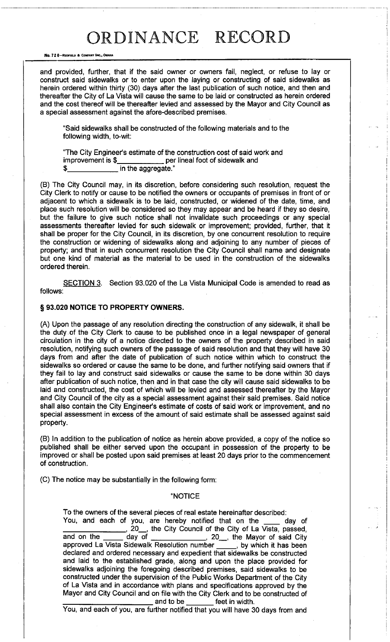# ORDINANCE RECORD

**No. 72 8-REDFIELD & COMPANY INC., OMAHA** 

and provided, further, that if the said owner or owners fail, neglect, or refuse to lay or construct said sidewalks or to enter upon the laying or constructing of said sidewalks as herein ordered within thirty (30) days after the last publication of such notice, and then and thereafter the City of La Vista will cause the same to be laid or constructed as herein ordered and the cost thereof will be thereafter levied and assessed by the Mayor and City Council as a special assessment against the afore-described premises.

"Said sidewalks shall be constructed of the following materials and to the following width, to-wit:

"The City Engineer's estimate of the construction cost of said work and improvement is \$ per lineal foot of sidewalk and \$ in the aggregate."

(B) The City Council may, in its discretion, before considering such resolution, request the City Clerk to notify or cause to be notified the owners or occupants of premises in front of or adjacent to which a sidewalk is to be laid, constructed, or widened of the date, time, and place such resolution will be considered so they may appear and be heard if they so desire, but the failure to give such notice shall not invalidate such proceedings or any special assessments thereafter levied for such sidewalk or improvement; provided, further, that it shall be proper for the City Council, in its discretion, by one concurrent resolution to require the construction or widening of sidewalks along and adjoining to any number of pieces of property; and that in such concurrent resolution the City Council shall name and designate but one kind of material as the material to be used in the construction of the sidewalks ordered therein.

SECTION 3. Section 93.020 of the La Vista Municipal Code is amended to read as follows:

# § **93.020 NOTICE TO PROPERTY OWNERS.**

(A) Upon the passage of any resolution directing the construction of any sidewalk, it shall be the duty.of the City Clerk to cause to be published once in a legal newspaper of general circulation in the city of a notice directed to the owners of the property described in said resolution, notifying such owners of the passage of said resolution and that they will have 30 days from and after the date of publication of such notice within which to construct the sidewalks so ordered or cause the same to be done, and further notifying said owners that if they fail to lay and construct said sidewalks or cause the same to be done within 30 days after publication of such notice, then and in that case the city will cause said sidewalks to be laid and constructed, the cost of which will be levied and assessed thereafter by the Mayor and City Council of the city as a special assessment against their said premises. Said notice shall also contain the City Engineer's estimate of costs of said work or improvement, and no special assessment in excess of the amount of said estimate shall be assessed against said property.

(B) In addition to the publication of notice as herein above provided, a copy of the notice so published shall be either served upon the occupant in possession of the property to be improved or shall be posted upon said premises at least 20 days prior to the commencement of construction.

(C) The notice may be substantially in the following form:

#### "NOTICE

To the owners of the several pieces of real estate hereinafter described:

You, and each of you, are hereby notified that on the <u>secul</u> day of You, are hereby notified that on the secul 1. 20 Ref City Council of the City of La Vista, passed, and on the new day of the City Council of the City of said City , 20\_, the Mayor of said City approved La Vista Sidewalk Resolution number , by which it has been declared and ordered necessary and expedient that sidewalks be constructed and laid to the established grade, along and upon the place provided for sidewalks adjoining the foregoing described premises, said sidewalks to be constructed under the supervision of the Public Works Department of the City of La Vista and in accordance with plans and specifications approved by the Mayor and City Council and on file with the City Clerk and to be constructed of<br>  $\frac{1}{2}$  and to be feet in width.

You, and each of you, are further notified that you will have 30 days from and